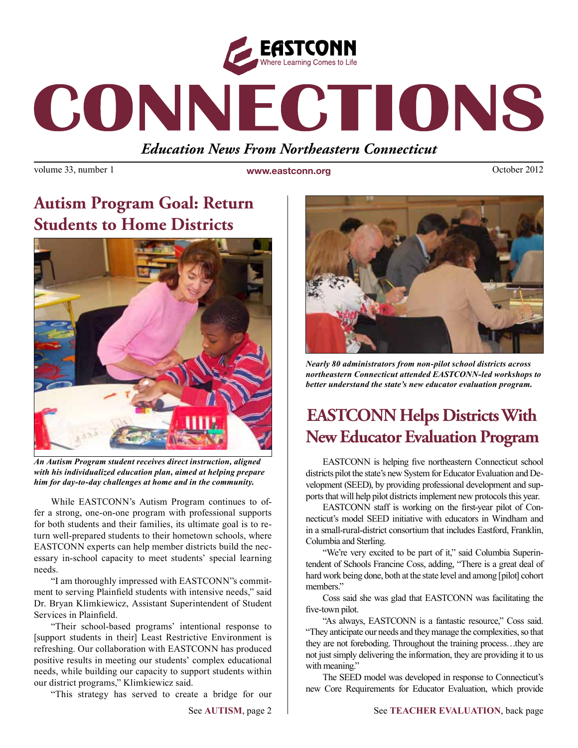

# CONNECTIONS

*Education News From Northeastern Connecticut*

volume 33, number 1 **www.eastconn.org Connection** October 2012

## **Autism Program Goal: Return Students to Home Districts**



*An Autism Program student receives direct instruction, aligned with his individualized education plan, aimed at helping prepare him for day-to-day challenges at home and in the community.* 

While EASTCONN's Autism Program continues to offer a strong, one-on-one program with professional supports for both students and their families, its ultimate goal is to return well-prepared students to their hometown schools, where EASTCONN experts can help member districts build the necessary in-school capacity to meet students' special learning needs.

"I am thoroughly impressed with EASTCONN"s commitment to serving Plainfeld students with intensive needs," said Dr. Bryan Klimkiewicz, Assistant Superintendent of Student Services in Plainfeld.

"Their school-based programs' intentional response to [support students in their] Least Restrictive Environment is refreshing. Our collaboration with EASTCONN has produced positive results in meeting our students' complex educational needs, while building our capacity to support students within our district programs," Klimkiewicz said.

"This strategy has served to create a bridge for our



*Nearly 80 administrators from non-pilot school districts across northeastern Connecticut attended EASTCONN-led workshops to better understand the state's new educator evaluation program.* 

## **EASTCONN Helps Districts With New Educator Evaluation Program**

EASTCONN is helping fve northeastern Connecticut school districts pilot the state's new System for Educator Evaluation and Development (SEED), by providing professional development and supports that will help pilot districts implement new protocols this year.

EASTCONN staff is working on the frst-year pilot of Connecticut's model SEED initiative with educators in Windham and in a small-rural-district consortium that includes Eastford, Franklin, Columbia and Sterling.

"We're very excited to be part of it," said Columbia Superintendent of Schools Francine Coss, adding, "There is a great deal of hard work being done, both at the state level and among [pilot] cohort members."

Coss said she was glad that EASTCONN was facilitating the five-town pilot.

"As always, EASTCONN is a fantastic resource," Coss said. "They anticipate our needs and they manage the complexities, so that they are not foreboding. Throughout the training process…they are not just simply delivering the information, they are providing it to us with meaning."

The SEED model was developed in response to Connecticut's new Core Requirements for Educator Evaluation, which provide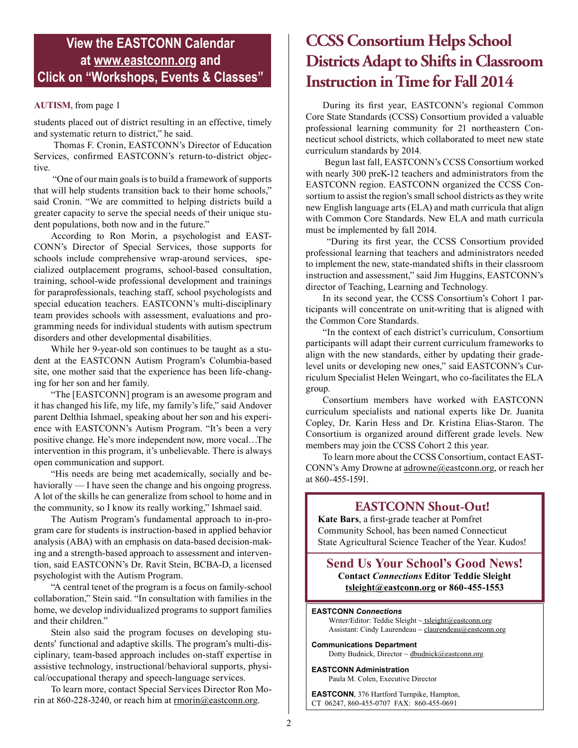#### **View the EASTCONN Calendar at <www.eastconn.org> and Click on "Workshops, Events & Classes"**

students placed out of district resulting in an effective, timely and systematic return to district," he said.

 Thomas F. Cronin, EASTCONN's Director of Education Services, confrmed EASTCONN's return-to-district objective.

 "One of our main goals is to build a framework of supports that will help students transition back to their home schools," said Cronin. "We are committed to helping districts build a greater capacity to serve the special needs of their unique student populations, both now and in the future."

According to Ron Morin, a psychologist and EAST-CONN's Director of Special Services, those supports for schools include comprehensive wrap-around services, specialized outplacement programs, school-based consultation, training, school-wide professional development and trainings for paraprofessionals, teaching staff, school psychologists and special education teachers. EASTCONN's multi-disciplinary team provides schools with assessment, evaluations and programming needs for individual students with autism spectrum disorders and other developmental disabilities.

While her 9-year-old son continues to be taught as a student at the EASTCONN Autism Program's Columbia-based site, one mother said that the experience has been life-changing for her son and her family.

"The [EASTCONN] program is an awesome program and it has changed his life, my life, my family's life," said Andover parent Delthia Ishmael, speaking about her son and his experience with EASTCONN's Autism Program. "It's been a very positive change. He's more independent now, more vocal…The intervention in this program, it's unbelievable. There is always open communication and support.

"His needs are being met academically, socially and behaviorally — I have seen the change and his ongoing progress. A lot of the skills he can generalize from school to home and in the community, so I know its really working," Ishmael said.

The Autism Program's fundamental approach to in-program care for students is instruction-based in applied behavior analysis (ABA) with an emphasis on data-based decision-making and a strength-based approach to assessment and intervention, said EASTCONN's Dr. Ravit Stein, BCBA-D, a licensed psychologist with the Autism Program.

"A central tenet of the program is a focus on family-school collaboration," Stein said. "In consultation with families in the home, we develop individualized programs to support families and their children."

Stein also said the program focuses on developing students' functional and adaptive skills. The program's multi-disciplinary, team-based approach includes on-staff expertise in assistive technology, instructional/behavioral supports, physical/occupational therapy and speech-language services.

To learn more, contact Special Services Director Ron Morin at 860-228-3240, or reach him at [rmorin@eastconn.org.](mailto:rmorin%40eastconn.org?subject=)

### **CCSS Consortium Helps School Districts Adapt to Shifts in Classroom Instruction in Time for Fall 2014**

**AUTISM**, from page 1 During its first year, EASTCONN's regional Common Core State Standards (CCSS) Consortium provided a valuable professional learning community for 21 northeastern Connecticut school districts, which collaborated to meet new state curriculum standards by 2014.

 Begun last fall, EASTCONN's CCSS Consortium worked with nearly 300 preK-12 teachers and administrators from the EASTCONN region. EASTCONN organized the CCSS Consortium to assist the region's small school districts as they write new English language arts (ELA) and math curricula that align with Common Core Standards. New ELA and math curricula must be implemented by fall 2014.

 "During its frst year, the CCSS Consortium provided professional learning that teachers and administrators needed to implement the new, state-mandated shifts in their classroom instruction and assessment," said Jim Huggins, EASTCONN's director of Teaching, Learning and Technology.

In its second year, the CCSS Consortium's Cohort 1 participants will concentrate on unit-writing that is aligned with the Common Core Standards.

"In the context of each district's curriculum, Consortium participants will adapt their current curriculum frameworks to align with the new standards, either by updating their gradelevel units or developing new ones," said EASTCONN's Curriculum Specialist Helen Weingart, who co-facilitates the ELA group.

Consortium members have worked with EASTCONN curriculum specialists and national experts like Dr. Juanita Copley, Dr. Karin Hess and Dr. Kristina Elias-Staron. The Consortium is organized around different grade levels. New members may join the CCSS Cohort 2 this year.

To learn more about the CCSS Consortium, contact EAST-CONN's Amy Drowne at [adrowne@eastconn.org,](mailto:adrowne%40eastconn.org?subject=) or reach her at 860-455-1591.

#### **EASTCONN Shout-Out!**

**Kate Bars**, a frst-grade teacher at Pomfret Community School, has been named Connecticut State Agricultural Science Teacher of the Year. Kudos!

**Send Us Your School's Good News! Contact** *Connections* **Editor Teddie Sleight [tsleight@eastconn.org](mailto:tsleight%40eastconn.org?subject=) or 860-455-1553**

#### **EASTCONN** *Connections*

Writer/Editor: Teddie Sleight ~ tsleigh[t@eastconn.org](mailto:tsleight@eastconn.org) Assistant: Cindy Laurendeau ~ [claurendeau@eastconn.org](mailto:claurendeau@eastconn.org)

**[Communications Department](%20mailto:connections@eastconn.org)** [Dotty Budnick,](mailto:dbudnick@eastconn.org) Director ~ [dbudnick@eastconn.org](http://mailto:dbudnick@eastconn.org)

**EASTCONN Administration** Paula M. Colen, Executive Director

**EASTCONN**, 376 Hartford Turnpike, Hampton, CT 06247, 860-455-0707 FAX: 860-455-0691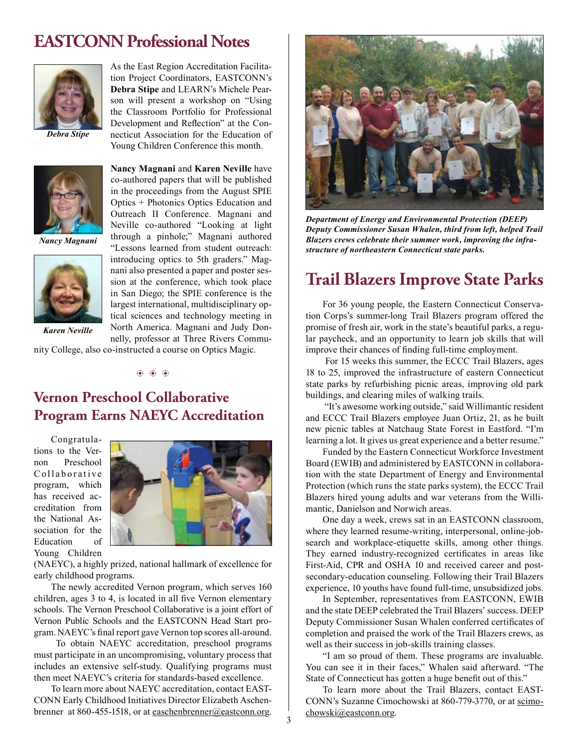#### **EASTCONN Professional Notes**



*Debra Stipe*



*Nancy Magnani*



*Karen Neville*

As the East Region Accreditation Facilitation Project Coordinators, EASTCONN's **Debra Stipe** and LEARN's Michele Pearson will present a workshop on "Using the Classroom Portfolio for Professional Development and Refection" at the Connecticut Association for the Education of Young Children Conference this month.

**Nancy Magnani** and **Karen Neville** have co-authored papers that will be published in the proceedings from the August SPIE Optics + Photonics Optics Education and Outreach II Conference. Magnani and Neville co-authored "Looking at light through a pinhole;" Magnani authored "Lessons learned from student outreach: introducing optics to 5th graders." Magnani also presented a paper and poster session at the conference, which took place in San Diego; the SPIE conference is the largest international, multidisciplinary optical sciences and technology meeting in North America. Magnani and Judy Donnelly, professor at Three Rivers Commu-

nity College, also co-instructed a course on Optics Magic.

 $\circledcirc$   $\circledcirc$ 

#### **Vernon Preschool Collaborative Program Earns NAEYC Accreditation**

Congratulations to the Vernon Preschool Collaborative program, which has received accreditation from the National Association for the Education of Young Children



(NAEYC), a highly prized, national hallmark of excellence for early childhood programs.

The newly accredited Vernon program, which serves 160 children, ages 3 to 4, is located in all fve Vernon elementary schools. The Vernon Preschool Collaborative is a joint effort of Vernon Public Schools and the EASTCONN Head Start program. NAEYC's fnal report gave Vernon top scores all-around.

 To obtain NAEYC accreditation, preschool programs must participate in an uncompromising, voluntary process that includes an extensive self-study. Qualifying programs must then meet NAEYC's criteria for standards-based excellence.

To learn more about NAEYC accreditation, contact EAST-CONN Early Childhood Initiatives Director Elizabeth Aschenbrenner at 860-455-1518, or at [easchenbrenner@eastconn.org.](mailto:easchenbrenner%40eastconn.org?subject=)



*Department of Energy and Environmental Protection (DEEP) Deputy Commissioner Susan Whalen, third from left, helped Trail Blazers crews celebrate their summer work, improving the infrastructure of northeastern Connecticut state parks.* 

#### **Trail Blazers Improve State Parks**

For 36 young people, the Eastern Connecticut Conservation Corps's summer-long Trail Blazers program offered the promise of fresh air, work in the state's beautiful parks, a regular paycheck, and an opportunity to learn job skills that will improve their chances of fnding full-time employment.

 For 15 weeks this summer, the ECCC Trail Blazers, ages 18 to 25, improved the infrastructure of eastern Connecticut state parks by refurbishing picnic areas, improving old park buildings, and clearing miles of walking trails.

 "It's awesome working outside," said Willimantic resident and ECCC Trail Blazers employee Juan Ortiz, 21, as he built new picnic tables at Natchaug State Forest in Eastford. "I'm learning a lot. It gives us great experience and a better resume."

Funded by the Eastern Connecticut Workforce Investment Board (EWIB) and administered by EASTCONN in collaboration with the state Department of Energy and Environmental Protection (which runs the state parks system), the ECCC Trail Blazers hired young adults and war veterans from the Willimantic, Danielson and Norwich areas.

One day a week, crews sat in an EASTCONN classroom, where they learned resume-writing, interpersonal, online-jobsearch and workplace-etiquette skills, among other things. They earned industry-recognized certifcates in areas like First-Aid, CPR and OSHA 10 and received career and postsecondary-education counseling. Following their Trail Blazers experience, 10 youths have found full-time, unsubsidized jobs.

In September, representatives from EASTCONN, EWIB and the state DEEP celebrated the Trail Blazers' success. DEEP Deputy Commissioner Susan Whalen conferred certifcates of completion and praised the work of the Trail Blazers crews, as well as their success in job-skills training classes.

"I am so proud of them. These programs are invaluable. You can see it in their faces," Whalen said afterward. "The State of Connecticut has gotten a huge beneft out of this."

To learn more about the Trail Blazers, contact EAST-CONN's Suzanne Cimochowski at 860-779-3770, or at [scimo](mailto:scimochowski%40eastconn.org?subject=)[chowski@eastconn.org.](mailto:scimochowski%40eastconn.org?subject=)